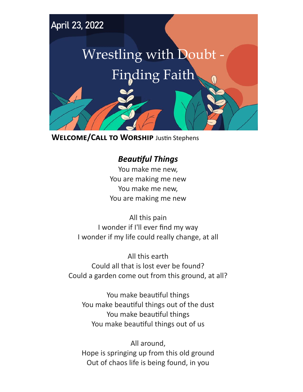

**Welcome/Call to Worship** Justin Stephens

# *Beautiful Things*

You make me new, You are making me new You make me new, You are making me new

All this pain I wonder if I'll ever find my way I wonder if my life could really change, at all

All this earth Could all that is lost ever be found? Could a garden come out from this ground, at all?

You make beautiful things You make beautiful things out of the dust You make beautiful things You make beautiful things out of us

All around, Hope is springing up from this old ground Out of chaos life is being found, in you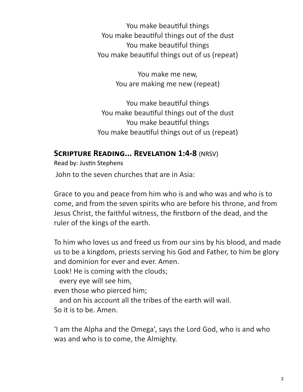You make beautiful things You make beautiful things out of the dust You make beautiful things You make beautiful things out of us (repeat)

> You make me new, You are making me new (repeat)

You make beautiful things You make beautiful things out of the dust You make beautiful things You make beautiful things out of us (repeat)

## **Scripture Reading... Revelation 1:4-8** (NRSV)

Read by: Justin Stephens John to the seven churches that are in Asia:

Grace to you and peace from him who is and who was and who is to come, and from the seven spirits who are before his throne, and from Jesus Christ, the faithful witness, the firstborn of the dead, and the ruler of the kings of the earth.

To him who loves us and freed us from our sins by his blood, and made us to be a kingdom, priests serving his God and Father, to him be glory and dominion for ever and ever. Amen.

Look! He is coming with the clouds;

every eye will see him,

even those who pierced him;

 and on his account all the tribes of the earth will wail. So it is to be. Amen.

'I am the Alpha and the Omega', says the Lord God, who is and who was and who is to come, the Almighty.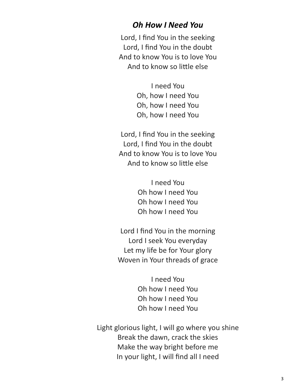#### *Oh How I Need You*

Lord, I find You in the seeking Lord, I find You in the doubt And to know You is to love You And to know so little else

> I need You Oh, how I need You Oh, how I need You Oh, how I need You

Lord, I find You in the seeking Lord, I find You in the doubt And to know You is to love You And to know so little else

> I need You Oh how I need You Oh how I need You Oh how I need You

Lord I find You in the morning Lord I seek You everyday Let my life be for Your glory Woven in Your threads of grace

> I need You Oh how I need You Oh how I need You Oh how I need You

Light glorious light, I will go where you shine Break the dawn, crack the skies Make the way bright before me In your light, I will find all I need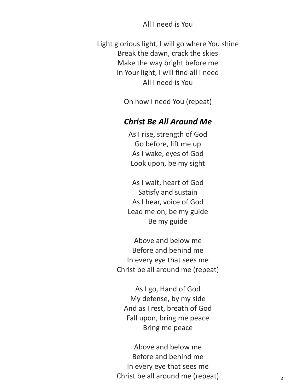All I need is You

Light glorious light, I will go where You shine Break the dawn, crack the skies Make the way bright before me In Your light, I will find all I need All I need is You

Oh how I need You (repeat)

#### *Christ Be All Around Me*

As I rise, strength of God Go before, lift me up As I wake, eyes of God Look upon, be my sight

As I wait, heart of God Satisfy and sustain As I hear, voice of God Lead me on, be my guide Be my guide

Above and below me Before and behind me In every eye that sees me Christ be all around me (repeat)

As I go, Hand of God My defense, by my side And as I rest, breath of God Fall upon, bring me peace Bring me peace

Above and below me Before and behind me In every eye that sees me Christ be all around me (repeat)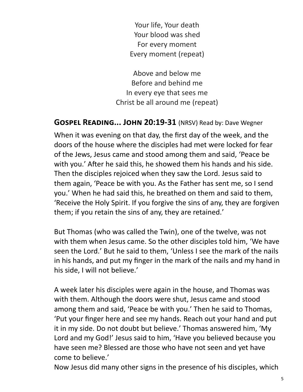Your life, Your death Your blood was shed For every moment Every moment (repeat)

Above and below me Before and behind me In every eye that sees me Christ be all around me (repeat)

**Gospel Reading... John 20:19-31** (NRSV) Read by: Dave Wegner

When it was evening on that day, the first day of the week, and the doors of the house where the disciples had met were locked for fear of the Jews, Jesus came and stood among them and said, 'Peace be with you.' After he said this, he showed them his hands and his side. Then the disciples rejoiced when they saw the Lord. Jesus said to them again, 'Peace be with you. As the Father has sent me, so I send you.' When he had said this, he breathed on them and said to them, 'Receive the Holy Spirit. If you forgive the sins of any, they are forgiven them; if you retain the sins of any, they are retained.'

But Thomas (who was called the Twin), one of the twelve, was not with them when Jesus came. So the other disciples told him, 'We have seen the Lord.' But he said to them, 'Unless I see the mark of the nails in his hands, and put my finger in the mark of the nails and my hand in his side, I will not believe.'

A week later his disciples were again in the house, and Thomas was with them. Although the doors were shut, Jesus came and stood among them and said, 'Peace be with you.' Then he said to Thomas, 'Put your finger here and see my hands. Reach out your hand and put it in my side. Do not doubt but believe.' Thomas answered him, 'My Lord and my God!' Jesus said to him, 'Have you believed because you have seen me? Blessed are those who have not seen and yet have come to believe.'

Now Jesus did many other signs in the presence of his disciples, which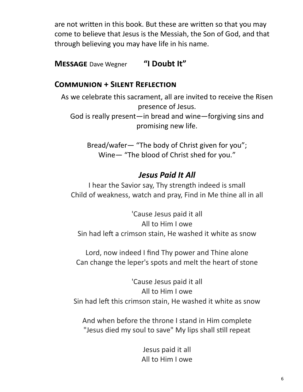are not written in this book. But these are written so that you may come to believe that Jesus is the Messiah, the Son of God, and that through believing you may have life in his name.

**Message** Dave Wegner **"I Doubt It"**

#### **Communion + Silent Reflection**

As we celebrate this sacrament, all are invited to receive the Risen presence of Jesus. God is really present—in bread and wine—forgiving sins and promising new life.

> Bread/wafer— "The body of Christ given for you"; Wine— "The blood of Christ shed for you."

# *Jesus Paid It All*

I hear the Savior say, Thy strength indeed is small Child of weakness, watch and pray, Find in Me thine all in all

'Cause Jesus paid it all All to Him I owe Sin had left a crimson stain, He washed it white as snow

Lord, now indeed I find Thy power and Thine alone Can change the leper's spots and melt the heart of stone

'Cause Jesus paid it all All to Him I owe Sin had left this crimson stain, He washed it white as snow

And when before the throne I stand in Him complete "Jesus died my soul to save" My lips shall still repeat

> Jesus paid it all All to Him I owe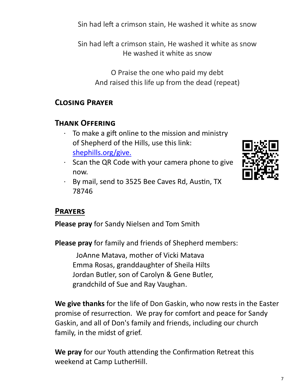Sin had left a crimson stain, He washed it white as snow

Sin had left a crimson stain, He washed it white as snow He washed it white as snow

O Praise the one who paid my debt And raised this life up from the dead (repeat)

## **Closing Prayer**

#### **Thank Offering**

- To make a gift online to the mission and ministry of Shepherd of the Hills, use this link: [shephills.org/give.](https://shephills.org/give/)
- $\cdot$  Scan the QR Code with your camera phone to give now.
	- · By mail, send to 3525 Bee Caves Rd, Austin, TX 78746



## **Prayers**

**Please pray** for Sandy Nielsen and Tom Smith

**Please pray** for family and friends of Shepherd members:

JoAnne Matava, mother of Vicki Matava Emma Rosas, granddaughter of Sheila Hilts Jordan Butler, son of Carolyn & Gene Butler, grandchild of Sue and Ray Vaughan.

**We give thanks** for the life of Don Gaskin, who now rests in the Easter promise of resurrection. We pray for comfort and peace for Sandy Gaskin, and all of Don's family and friends, including our church family, in the midst of grief.

**We pray** for our Youth attending the Confirmation Retreat this weekend at Camp LutherHill.